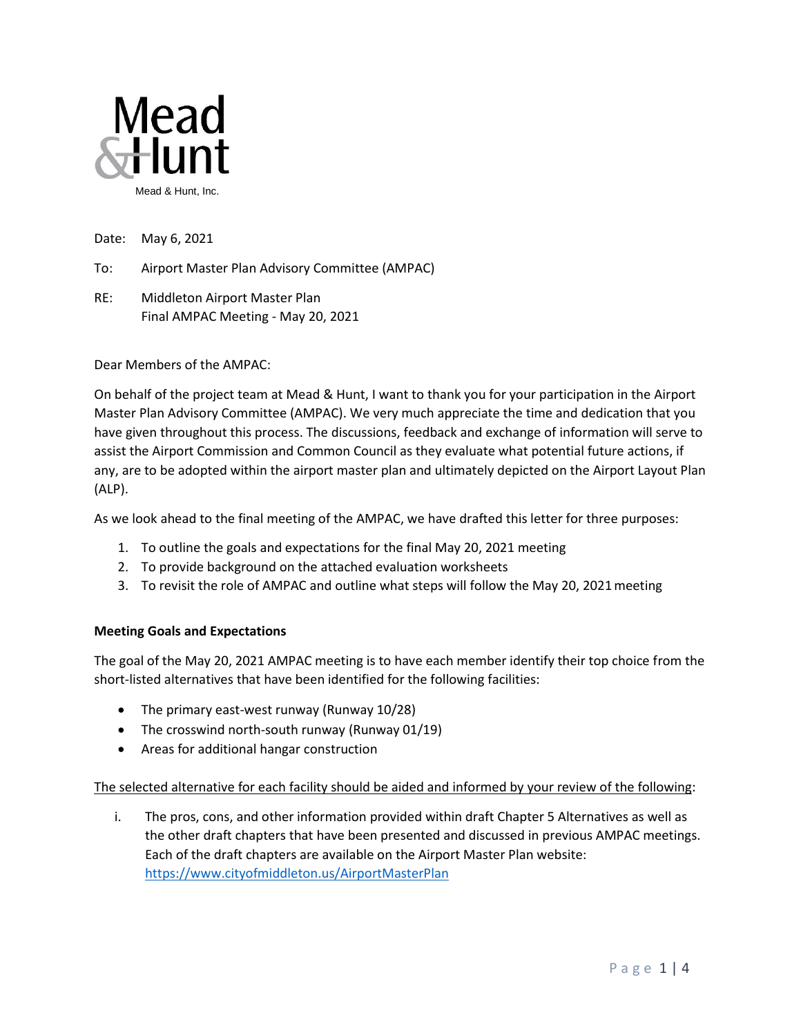

Date: May 6, 2021

To: Airport Master Plan Advisory Committee (AMPAC)

RE: Middleton Airport Master Plan Final AMPAC Meeting - May 20, 2021

Dear Members of the AMPAC:

On behalf of the project team at Mead & Hunt, I want to thank you for your participation in the Airport Master Plan Advisory Committee (AMPAC). We very much appreciate the time and dedication that you have given throughout this process. The discussions, feedback and exchange of information will serve to assist the Airport Commission and Common Council as they evaluate what potential future actions, if any, are to be adopted within the airport master plan and ultimately depicted on the Airport Layout Plan (ALP).

As we look ahead to the final meeting of the AMPAC, we have drafted this letter for three purposes:

- 1. To outline the goals and expectations for the final May 20, 2021 meeting
- 2. To provide background on the attached evaluation worksheets
- 3. To revisit the role of AMPAC and outline what steps will follow the May 20, 2021meeting

## **Meeting Goals and Expectations**

The goal of the May 20, 2021 AMPAC meeting is to have each member identify their top choice from the short-listed alternatives that have been identified for the following facilities:

- The primary east-west runway (Runway 10/28)
- The crosswind north-south runway (Runway 01/19)
- Areas for additional hangar construction

## The selected alternative for each facility should be aided and informed by your review of the following:

i. The pros, cons, and other information provided within draft Chapter 5 Alternatives as well as the other draft chapters that have been presented and discussed in previous AMPAC meetings. Each of the draft chapters are available on the Airport Master Plan website: <https://www.cityofmiddleton.us/AirportMasterPlan>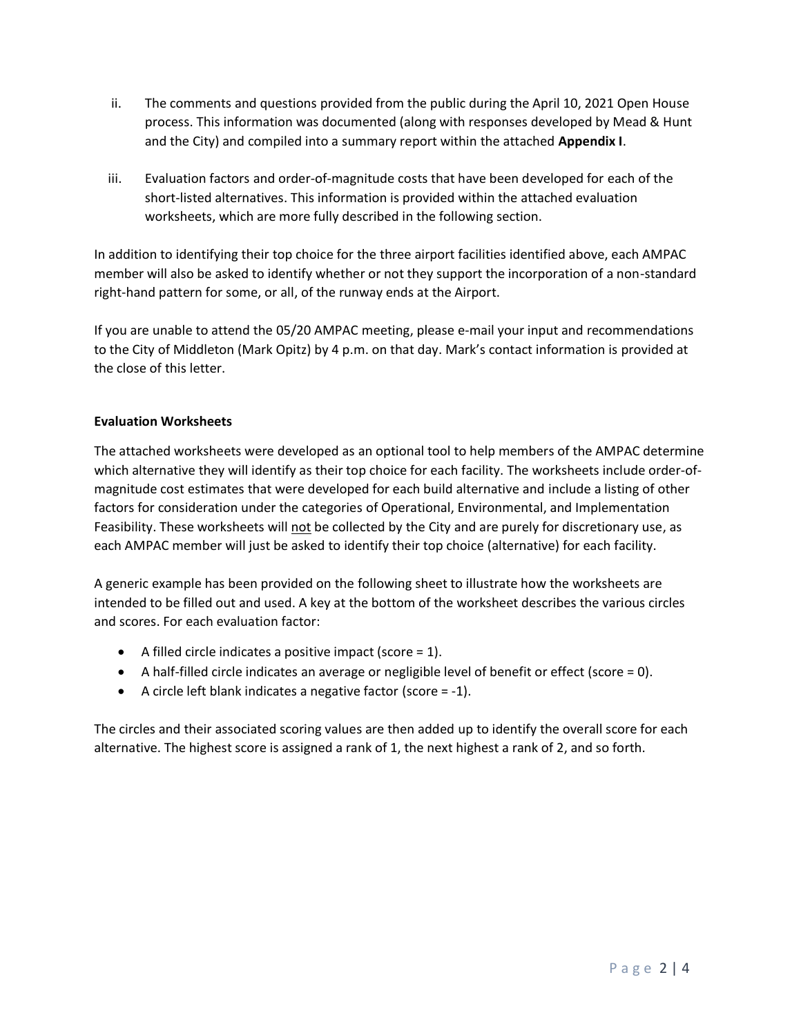- ii. The comments and questions provided from the public during the April 10, 2021 Open House process. This information was documented (along with responses developed by Mead & Hunt and the City) and compiled into a summary report within the attached **Appendix I**.
- iii. Evaluation factors and order-of-magnitude costs that have been developed for each of the short-listed alternatives. This information is provided within the attached evaluation worksheets, which are more fully described in the following section.

In addition to identifying their top choice for the three airport facilities identified above, each AMPAC member will also be asked to identify whether or not they support the incorporation of a non-standard right-hand pattern for some, or all, of the runway ends at the Airport.

If you are unable to attend the 05/20 AMPAC meeting, please e-mail your input and recommendations to the City of Middleton (Mark Opitz) by 4 p.m. on that day. Mark's contact information is provided at the close of this letter.

## **Evaluation Worksheets**

The attached worksheets were developed as an optional tool to help members of the AMPAC determine which alternative they will identify as their top choice for each facility. The worksheets include order-ofmagnitude cost estimates that were developed for each build alternative and include a listing of other factors for consideration under the categories of Operational, Environmental, and Implementation Feasibility. These worksheets will not be collected by the City and are purely for discretionary use, as each AMPAC member will just be asked to identify their top choice (alternative) for each facility.

A generic example has been provided on the following sheet to illustrate how the worksheets are intended to be filled out and used. A key at the bottom of the worksheet describes the various circles and scores. For each evaluation factor:

- A filled circle indicates a positive impact (score  $= 1$ ).
- A half-filled circle indicates an average or negligible level of benefit or effect (score = 0).
- A circle left blank indicates a negative factor (score = -1).

The circles and their associated scoring values are then added up to identify the overall score for each alternative. The highest score is assigned a rank of 1, the next highest a rank of 2, and so forth.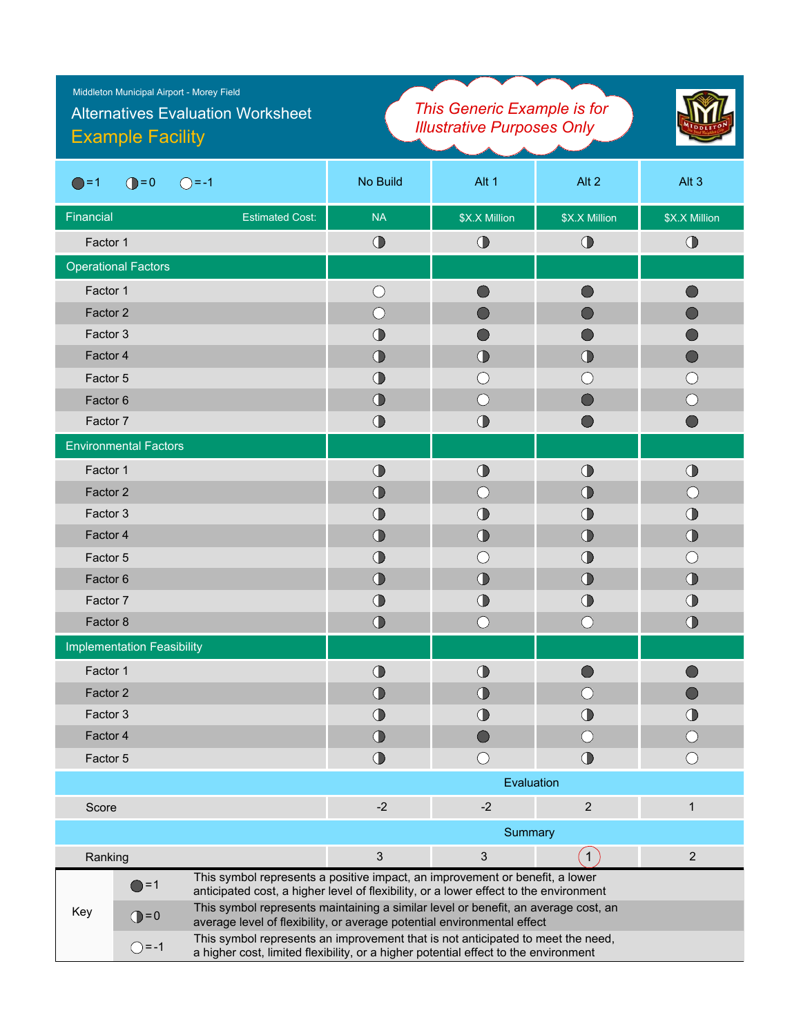| Middleton Municipal Airport - Morey Field<br><b>Alternatives Evaluation Worksheet</b><br><b>Example Facility</b>                                                                       | This Generic Example is for<br><b>Illustrative Purposes Only</b>                                                                                                       |                                             |                   |                                             |
|----------------------------------------------------------------------------------------------------------------------------------------------------------------------------------------|------------------------------------------------------------------------------------------------------------------------------------------------------------------------|---------------------------------------------|-------------------|---------------------------------------------|
| $\bigcirc$ = 0<br>$\bigcirc$ = -1<br>$\bigcirc$ = 1                                                                                                                                    | No Build                                                                                                                                                               | Alt 1                                       | Alt <sub>2</sub>  | Alt <sub>3</sub>                            |
| Financial<br><b>Estimated Cost:</b>                                                                                                                                                    | <b>NA</b>                                                                                                                                                              | \$X.X Million                               | \$X.X Million     | \$X.X Million                               |
| Factor 1                                                                                                                                                                               | $\bigcirc$                                                                                                                                                             | $\bigcirc$                                  | $\bigcirc$        | $\bigcirc$                                  |
| <b>Operational Factors</b>                                                                                                                                                             |                                                                                                                                                                        |                                             |                   |                                             |
| Factor 1                                                                                                                                                                               | $\bigcirc$                                                                                                                                                             |                                             |                   |                                             |
| Factor 2                                                                                                                                                                               | $($ )                                                                                                                                                                  |                                             |                   |                                             |
| Factor 3                                                                                                                                                                               | $\bigcirc$                                                                                                                                                             |                                             |                   |                                             |
| Factor 4                                                                                                                                                                               | $\bigcirc$                                                                                                                                                             | $\bigcirc$                                  | $\bigcirc$        | ( )                                         |
| Factor 5                                                                                                                                                                               | $\bigcirc$                                                                                                                                                             | $\left(\begin{array}{c} \end{array}\right)$ | ()                | $\left(\begin{array}{c} \end{array}\right)$ |
| Factor <sub>6</sub>                                                                                                                                                                    | $\bigcirc$                                                                                                                                                             | $\left(\begin{array}{c} \end{array}\right)$ |                   | ( )                                         |
| Factor 7                                                                                                                                                                               | $\bigcirc$                                                                                                                                                             | $\bigcirc$                                  |                   |                                             |
| <b>Environmental Factors</b>                                                                                                                                                           |                                                                                                                                                                        |                                             |                   |                                             |
| Factor 1                                                                                                                                                                               | $\bigcirc$                                                                                                                                                             | $\bigcirc$                                  | $\bigcirc$        | $\bigcirc$                                  |
| Factor 2                                                                                                                                                                               | $\bigodot$                                                                                                                                                             | (                                           | $\bigoplus$       | ( )                                         |
| Factor 3                                                                                                                                                                               | $\bigcirc$                                                                                                                                                             | $\bigcirc$                                  | $\bigoplus$       | $\bigcirc$                                  |
| Factor 4                                                                                                                                                                               | $\bigcirc$                                                                                                                                                             | $\bigcirc$                                  | $\bigcirc$        | $\bigcirc$                                  |
| Factor 5                                                                                                                                                                               | $\bigcirc$                                                                                                                                                             | $\left(\begin{array}{c} \end{array}\right)$ | $\bigcirc$        | ( )                                         |
| Factor <sub>6</sub>                                                                                                                                                                    | $\bigcirc$                                                                                                                                                             | $\bigcirc$                                  | $\bigcirc$        | $\bigcirc$                                  |
| Factor 7                                                                                                                                                                               | $\bigcirc$                                                                                                                                                             | $^{\circ}$                                  | $\bigoplus$       | $\bigcirc$                                  |
| Factor 8                                                                                                                                                                               | $\bigcirc$                                                                                                                                                             | $\bigcirc$                                  | $( \ )$           | $\bigcirc$                                  |
| <b>Implementation Feasibility</b>                                                                                                                                                      |                                                                                                                                                                        |                                             |                   |                                             |
| Factor 1                                                                                                                                                                               | $\bigcirc$                                                                                                                                                             | $\bigcirc$                                  |                   |                                             |
| Factor 2                                                                                                                                                                               | $\bigcirc$                                                                                                                                                             | $\bigcirc$                                  | ( )               | $\Box$                                      |
| Factor 3                                                                                                                                                                               | $\bigcirc$                                                                                                                                                             | $\bigcirc$                                  | $\bigoplus$       | $\bigcirc$                                  |
| Factor 4                                                                                                                                                                               | $\bigcirc$                                                                                                                                                             | $\bigcirc$                                  | ∩                 | $\left(\right)$                             |
| Factor 5                                                                                                                                                                               | $\bigcirc$                                                                                                                                                             | $\bigcirc$                                  | $\bigcirc$        | $\bigcirc$                                  |
|                                                                                                                                                                                        | Evaluation                                                                                                                                                             |                                             |                   |                                             |
| Score                                                                                                                                                                                  | $-2$                                                                                                                                                                   | $-2$                                        | $\overline{2}$    | $\mathbf{1}$                                |
|                                                                                                                                                                                        | Summary                                                                                                                                                                |                                             |                   |                                             |
| Ranking                                                                                                                                                                                | $\mathfrak{S}$                                                                                                                                                         | $\mathbf{3}$                                | $\left( 1\right)$ | $\overline{2}$                              |
| This symbol represents a positive impact, an improvement or benefit, a lower<br>$\bigcirc$ =1<br>anticipated cost, a higher level of flexibility, or a lower effect to the environment |                                                                                                                                                                        |                                             |                   |                                             |
| Key<br>$\bigcirc$ = 0                                                                                                                                                                  | This symbol represents maintaining a similar level or benefit, an average cost, an<br>average level of flexibility, or average potential environmental effect          |                                             |                   |                                             |
| $\bigcirc$ = -1                                                                                                                                                                        | This symbol represents an improvement that is not anticipated to meet the need,<br>a higher cost, limited flexibility, or a higher potential effect to the environment |                                             |                   |                                             |